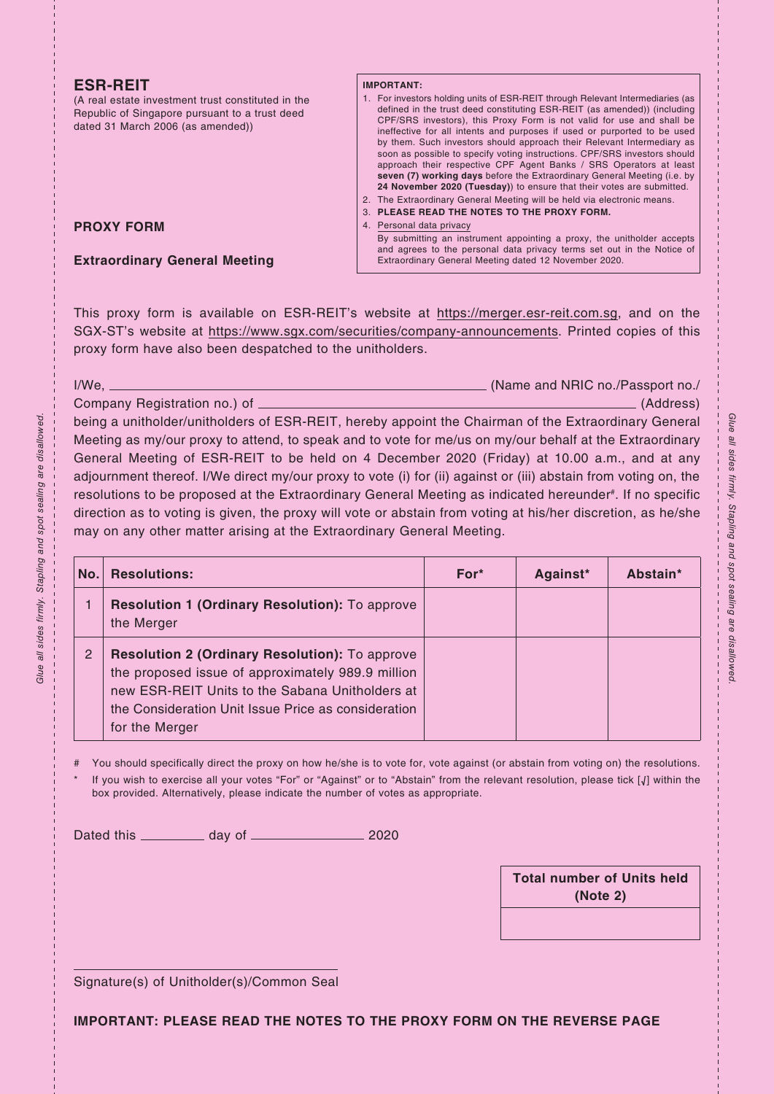## **ESR-REIT**

**PROXY FORM**

(A real estate investment trust constituted in the Republic of Singapore pursuant to a trust deed dated 31 March 2006 (as amended))

**Extraordinary General Meeting**

## **IMPORTANT:**

- 1. For investors holding units of ESR-REIT through Relevant Intermediaries (as defined in the trust deed constituting ESR-REIT (as amended)) (including CPF/SRS investors), this Proxy Form is not valid for use and shall be ineffective for all intents and purposes if used or purported to be used by them. Such investors should approach their Relevant Intermediary as soon as possible to specify voting instructions. CPF/SRS investors should approach their respective CPF Agent Banks / SRS Operators at least **seven (7) working days** before the Extraordinary General Meeting (i.e. by **24 November 2020 (Tuesday)**) to ensure that their votes are submitted. 2. The Extraordinary General Meeting will be held via electronic means.
- 3. **PLEASE READ THE NOTES TO THE PROXY FORM.**
- Personal data privacy

By submitting an instrument appointing a proxy, the unitholder accepts and agrees to the personal data privacy terms set out in the Notice of Extraordinary General Meeting dated 12 November 2020.

This proxy form is available on ESR-REIT's website at https://merger.esr-reit.com.sg, and on the SGX-ST's website at https://www.sgx.com/securities/company-announcements. Printed copies of this proxy form have also been despatched to the unitholders.

I/We, (Name and NRIC no./Passport no./

Company Registration no.) of (Address) being a unitholder/unitholders of ESR-REIT, hereby appoint the Chairman of the Extraordinary General Meeting as my/our proxy to attend, to speak and to vote for me/us on my/our behalf at the Extraordinary General Meeting of ESR-REIT to be held on 4 December 2020 (Friday) at 10.00 a.m., and at any adjournment thereof. I/We direct my/our proxy to vote (i) for (ii) against or (iii) abstain from voting on, the resolutions to be proposed at the Extraordinary General Meeting as indicated hereunder#. If no specific direction as to voting is given, the proxy will vote or abstain from voting at his/her discretion, as he/she may on any other matter arising at the Extraordinary General Meeting.

| No. | <b>Resolutions:</b>                                                                                                                                                                                                                    | $For*$ | Against* | Abstain* |
|-----|----------------------------------------------------------------------------------------------------------------------------------------------------------------------------------------------------------------------------------------|--------|----------|----------|
|     | <b>Resolution 1 (Ordinary Resolution):</b> To approve<br>the Merger                                                                                                                                                                    |        |          |          |
| 2   | <b>Resolution 2 (Ordinary Resolution):</b> To approve<br>the proposed issue of approximately 989.9 million<br>new ESR-REIT Units to the Sabana Unitholders at<br>the Consideration Unit Issue Price as consideration<br>for the Merger |        |          |          |

You should specifically direct the proxy on how he/she is to vote for, vote against (or abstain from voting on) the resolutions. If you wish to exercise all your votes "For" or "Against" or to "Abstain" from the relevant resolution, please tick [√] within the

box provided. Alternatively, please indicate the number of votes as appropriate.

Dated this day of 2020

**Total number of Units held (Note 2)**

Signature(s) of Unitholder(s)/Common Seal

**IMPORTANT: PLEASE READ THE NOTES TO THE PROXY FORM ON THE REVERSE PAGE**